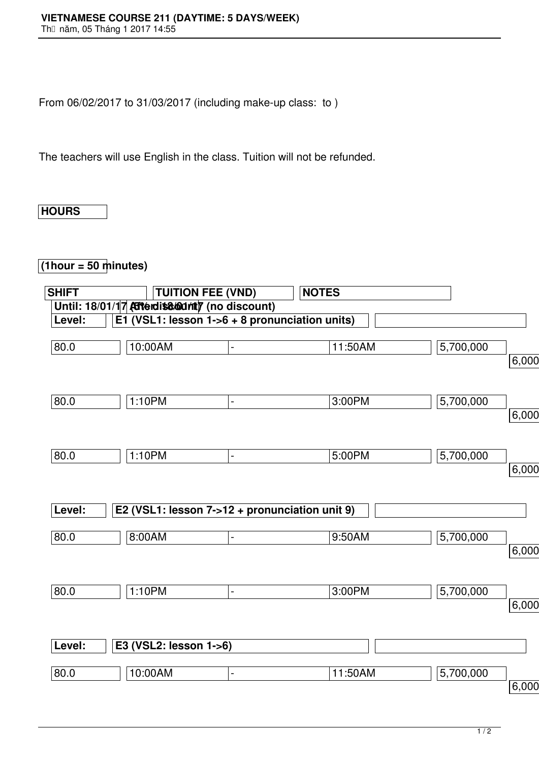From 06/02/2017 to 31/03/2017 (including make-up class: to )

The teachers will use English in the class. Tuition will not be refunded.

## **HOURS**

## **(1hour = 50 minutes)**

| <b>SHIFT</b> | <b>TUITION FEE (VND)</b>                       |                | <b>NOTES</b> |           |       |
|--------------|------------------------------------------------|----------------|--------------|-----------|-------|
|              | Until: 18/01/17 Atterdiscount) (no discount)   |                |              |           |       |
| Level:       | E1 (VSL1: lesson 1->6 + 8 pronunciation units) |                |              |           |       |
| 80.0         | 10:00AM                                        | $\overline{a}$ | 11:50AM      | 5,700,000 | 6,000 |
| 80.0         | 1:10PM                                         | $\blacksquare$ | 3:00PM       | 5,700,000 |       |
|              |                                                |                |              |           | 6,000 |
| 80.0         | 1:10PM                                         | $\blacksquare$ | 5:00PM       | 5,700,000 | 6,000 |
| Level:       | E2 (VSL1: lesson 7->12 + pronunciation unit 9) |                |              |           |       |
| 80.0         | 8:00AM                                         | $\blacksquare$ | 9:50AM       | 5,700,000 | 6,000 |
| 80.0         | 1:10PM                                         | $\blacksquare$ | 3:00PM       | 5,700,000 | 6,000 |
| Level:       | E3 (VSL2: lesson 1->6)                         |                |              |           |       |
| 80.0         | 10:00AM                                        | $\overline{a}$ | 11:50AM      | 5,700,000 |       |
|              |                                                |                |              |           | 6,000 |